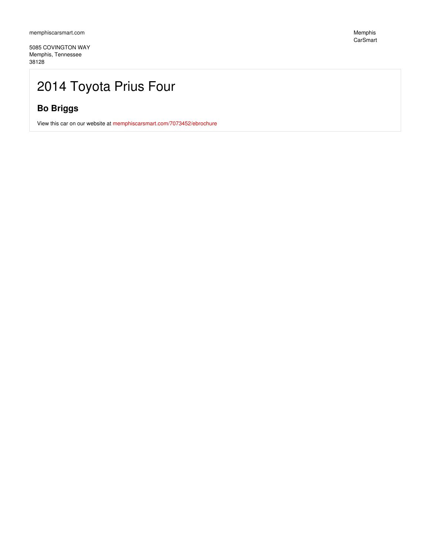5085 COVINGTON WAY Memphis, Tennessee 38128

Memphis CarSmart

# 2014 Toyota Prius Four

### **Bo Briggs**

View this car on our website at [memphiscarsmart.com/7073452/ebrochure](https://memphiscarsmart.com/vehicle/7073452/2014-toyota-prius-four-memphis-tennessee-38128/7073452/ebrochure)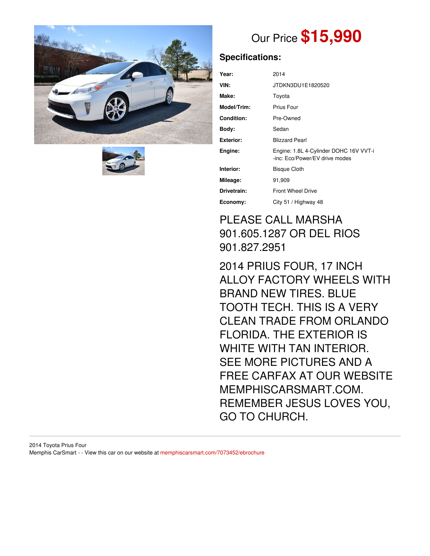



# Our Price **\$15,990**

# **Specifications:**

| Year:            | 2014                                                                     |
|------------------|--------------------------------------------------------------------------|
| VIN:             | JTDKN3DU1E1820520                                                        |
| Make:            | Toyota                                                                   |
| Model/Trim:      | Prius Four                                                               |
| Condition:       | Pre-Owned                                                                |
| Body:            | Sedan                                                                    |
| <b>Exterior:</b> | <b>Blizzard Pearl</b>                                                    |
| Engine:          | Engine: 1.8L 4-Cylinder DOHC 16V VVT-i<br>-inc: Eco/Power/EV drive modes |
| Interior:        | <b>Bisque Cloth</b>                                                      |
| Mileage:         | 91,909                                                                   |
| Drivetrain:      | <b>Front Wheel Drive</b>                                                 |
| Economy:         | City 51 / Highway 48                                                     |

# PLEASE CALL MARSHA 901.605.1287 OR DEL RIOS 901.827.2951

2014 PRIUS FOUR, 17 INCH ALLOY FACTORY WHEELS WITH BRAND NEW TIRES. BLUE TOOTH TECH. THIS IS A VERY CLEAN TRADE FROM ORLANDO FLORIDA. THE EXTERIOR IS WHITE WITH TAN INTERIOR. SEE MORE PICTURES AND A FREE CARFAX AT OUR WEBSITE MEMPHISCARSMART.COM. REMEMBER JESUS LOVES YOU, GO TO CHURCH.

2014 Toyota Prius Four Memphis CarSmart - - View this car on our website at [memphiscarsmart.com/7073452/ebrochure](https://memphiscarsmart.com/vehicle/7073452/2014-toyota-prius-four-memphis-tennessee-38128/7073452/ebrochure)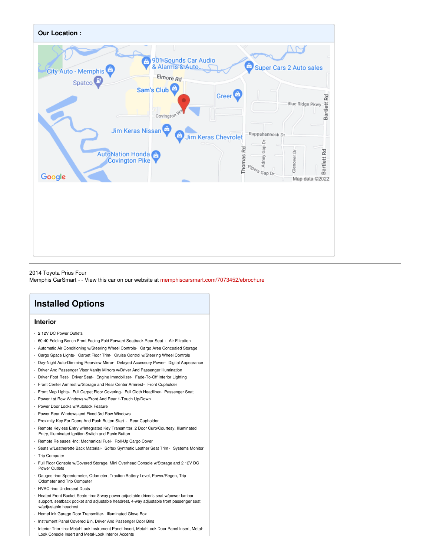

2014 Toyota Prius Four Memphis CarSmart - - View this car on our website at [memphiscarsmart.com/7073452/ebrochure](https://memphiscarsmart.com/vehicle/7073452/2014-toyota-prius-four-memphis-tennessee-38128/7073452/ebrochure)

# **Installed Options**

#### **Interior**

- 2 12V DC Power Outlets
- 60-40 Folding Bench Front Facing Fold Forward Seatback Rear Seat Air Filtration
- Automatic Air Conditioning w/Steering Wheel Controls- Cargo Area Concealed Storage
- Cargo Space Lights- Carpet Floor Trim- Cruise Control w/Steering Wheel Controls
- Day-Night Auto-Dimming Rearview Mirror- Delayed Accessory Power- Digital Appearance
- Driver And Passenger Visor Vanity Mirrors w/Driver And Passenger Illumination
- Driver Foot Rest- Driver Seat- Engine Immobilizer- Fade-To-Off Interior Lighting
- Front Center Armrest w/Storage and Rear Center Armrest- Front Cupholder
- Front Map Lights- Full Carpet Floor Covering- Full Cloth Headliner- Passenger Seat
- Power 1st Row Windows w/Front And Rear 1-Touch Up/Down
- Power Door Locks w/Autolock Feature
- Power Rear Windows and Fixed 3rd Row Windows
- Proximity Key For Doors And Push Button Start Rear Cupholder
- Remote Keyless Entry w/Integrated Key Transmitter, 2 Door Curb/Courtesy, Illuminated Entry, Illuminated Ignition Switch and Panic Button
- Remote Releases -Inc: Mechanical Fuel- Roll-Up Cargo Cover
- Seats w/Leatherette Back Material- Softex Synthetic Leather Seat Trim Systems Monitor
- Trip Computer
- Full Floor Console w/Covered Storage, Mini Overhead Console w/Storage and 2 12V DC Power Outlets
- Gauges -inc: Speedometer, Odometer, Traction Battery Level, Power/Regen, Trip Odometer and Trip Computer
- HVAC -inc: Underseat Ducts
- Heated Front Bucket Seats -inc: 8-way power adjustable driver's seat w/power lumbar support, seatback pocket and adjustable headrest, 4-way adjustable front passenger seat w/adjustable headrest
- HomeLink Garage Door Transmitter- Illuminated Glove Box
- Instrument Panel Covered Bin, Driver And Passenger Door Bins
- Interior Trim -inc: Metal-Look Instrument Panel Insert, Metal-Look Door Panel Insert, Metal-Look Console Insert and Metal-Look Interior Accents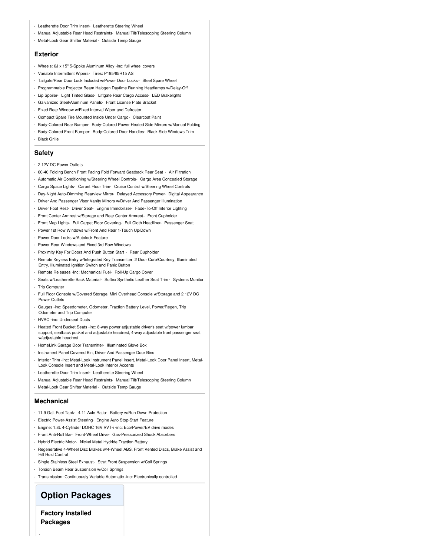- Leatherette Door Trim Insert- Leatherette Steering Wheel
- Manual Adjustable Rear Head Restraints- Manual Tilt/Telescoping Steering Column
- Metal-Look Gear Shifter Material- Outside Temp Gauge

#### **Exterior**

- Wheels: 6J x 15" 5-Spoke Aluminum Alloy -inc: full wheel covers
- Variable Intermittent Wipers- Tires: P195/65R15 AS
- Tailgate/Rear Door Lock Included w/Power Door Locks Steel Spare Wheel
- Programmable Projector Beam Halogen Daytime Running Headlamps w/Delay-Off
- Lip Spoiler- Light Tinted Glass- Liftgate Rear Cargo Access- LED Brakelights
- Galvanized Steel/Aluminum Panels- Front License Plate Bracket
- Fixed Rear Window w/Fixed Interval Wiper and Defroster
- Compact Spare Tire Mounted Inside Under Cargo- Clearcoat Paint
- Body-Colored Rear Bumper- Body-Colored Power Heated Side Mirrors w/Manual Folding
- Body-Colored Front Bumper- Body-Colored Door Handles- Black Side Windows Trim
- Black Grille

#### **Safety**

- 2 12V DC Power Outlets
- 60-40 Folding Bench Front Facing Fold Forward Seatback Rear Seat Air Filtration
- Automatic Air Conditioning w/Steering Wheel Controls- Cargo Area Concealed Storage
- Cargo Space Lights- Carpet Floor Trim- Cruise Control w/Steering Wheel Controls
- Day-Night Auto-Dimming Rearview Mirror- Delayed Accessory Power- Digital Appearance
- Driver And Passenger Visor Vanity Mirrors w/Driver And Passenger Illumination
- Driver Foot Rest- Driver Seat- Engine Immobilizer- Fade-To-Off Interior Lighting
- Front Center Armrest w/Storage and Rear Center Armrest- Front Cupholder
- Front Map Lights- Full Carpet Floor Covering- Full Cloth Headliner- Passenger Seat
- Power 1st Row Windows w/Front And Rear 1-Touch Up/Down
- Power Door Locks w/Autolock Feature
- Power Rear Windows and Fixed 3rd Row Windows
- Proximity Key For Doors And Push Button Start Rear Cupholder
- Remote Keyless Entry w/Integrated Key Transmitter, 2 Door Curb/Courtesy, Illuminated Entry, Illuminated Ignition Switch and Panic Button
- Remote Releases -Inc: Mechanical Fuel- Roll-Up Cargo Cover
- Seats w/Leatherette Back Material- Softex Synthetic Leather Seat Trim Systems Monitor
- Trip Computer
- Full Floor Console w/Covered Storage, Mini Overhead Console w/Storage and 2 12V DC Power Outlets
- Gauges -inc: Speedometer, Odometer, Traction Battery Level, Power/Regen, Trip Odometer and Trip Computer
- HVAC -inc: Underseat Ducts
- Heated Front Bucket Seats -inc: 8-way power adjustable driver's seat w/power lumbar support, seatback pocket and adjustable headrest, 4-way adjustable front passenger seat w/adjustable headrest
- HomeLink Garage Door Transmitter- Illuminated Glove Box
- Instrument Panel Covered Bin, Driver And Passenger Door Bins
- Interior Trim -inc: Metal-Look Instrument Panel Insert, Metal-Look Door Panel Insert, Metal-Look Console Insert and Metal-Look Interior Accents
- Leatherette Door Trim Insert- Leatherette Steering Wheel
- Manual Adjustable Rear Head Restraints- Manual Tilt/Telescoping Steering Column
- Metal-Look Gear Shifter Material- Outside Temp Gauge

#### **Mechanical**

- 11.9 Gal. Fuel Tank- 4.11 Axle Ratio- Battery w/Run Down Protection
- Electric Power-Assist Steering- Engine Auto Stop-Start Feature
- Engine: 1.8L 4-Cylinder DOHC 16V VVT-i -inc: Eco/Power/EV drive modes
- Front Anti-Roll Bar- Front-Wheel Drive- Gas-Pressurized Shock Absorbers
- Hybrid Electric Motor- Nickel Metal Hydride Traction Battery
- Regenerative 4-Wheel Disc Brakes w/4-Wheel ABS, Front Vented Discs, Brake Assist and Hill Hold Control
- Single Stainless Steel Exhaust- Strut Front Suspension w/Coil Springs
- Torsion Beam Rear Suspension w/Coil Springs
- Transmission: Continuously Variable Automatic -inc: Electronically controlled

### **Option Packages**

**Factory Installed Packages**

-